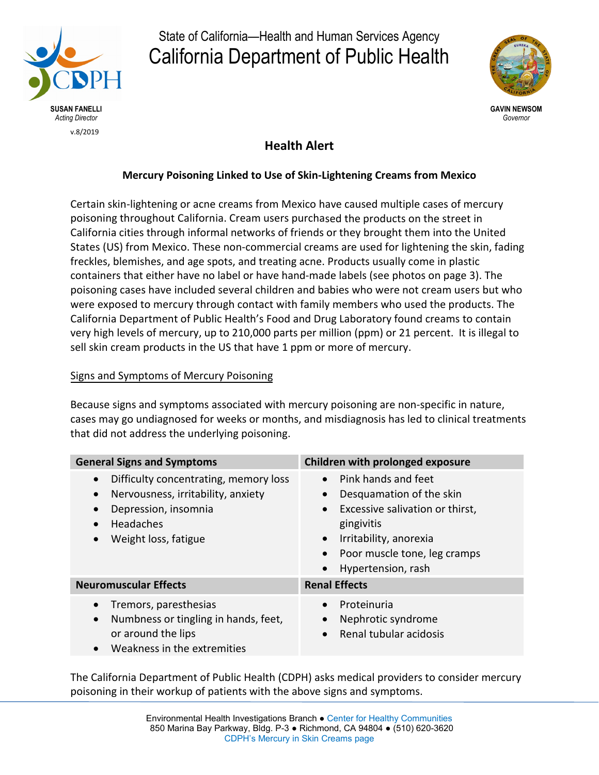

# State of California—Health and Human Services Agency California Department of Public Health



*Governor*

## **Health Alert**

### **Mercury Poisoning Linked to Use of Skin-Lightening Creams from Mexico**

Certain skin-lightening or acne creams from Mexico have caused multiple cases of mercury poisoning throughout California. Cream users purchased the products on the street in California cities through informal networks of friends or they brought them into the United States (US) from Mexico. These non-commercial creams are used for lightening the skin, fading freckles, blemishes, and age spots, and treating acne. Products usually come in plastic containers that either have no label or have hand-made labels (see photos on page 3). The poisoning cases have included several children and babies who were not cream users but who were exposed to mercury through contact with family members who used the products. The California Department of Public Health's Food and Drug Laboratory found creams to contain very high levels of mercury, up to 210,000 parts per million (ppm) or 21 percent. It is illegal to sell skin cream products in the US that have 1 ppm or more of mercury.

#### Signs and Symptoms of Mercury Poisoning

Because signs and symptoms associated with mercury poisoning are non-specific in nature, cases may go undiagnosed for weeks or months, and misdiagnosis has led to clinical treatments that did not address the underlying poisoning.

| <b>General Signs and Symptoms</b>                                                                                                                                                      | Children with prolonged exposure                                                                                                                                                                                                                    |
|----------------------------------------------------------------------------------------------------------------------------------------------------------------------------------------|-----------------------------------------------------------------------------------------------------------------------------------------------------------------------------------------------------------------------------------------------------|
| Difficulty concentrating, memory loss<br>$\bullet$<br>Nervousness, irritability, anxiety<br>$\bullet$<br>Depression, insomnia<br><b>Headaches</b><br>$\bullet$<br>Weight loss, fatigue | • Pink hands and feet<br>Desquamation of the skin<br>$\bullet$<br>Excessive salivation or thirst,<br>$\bullet$<br>gingivitis<br>Irritability, anorexia<br>$\bullet$<br>Poor muscle tone, leg cramps<br>$\bullet$<br>Hypertension, rash<br>$\bullet$ |
| <b>Neuromuscular Effects</b>                                                                                                                                                           | <b>Renal Effects</b>                                                                                                                                                                                                                                |
| Tremors, paresthesias<br>$\bullet$<br>Numbness or tingling in hands, feet,<br>$\bullet$<br>or around the lips<br>Weakness in the extremities<br>$\bullet$                              | Proteinuria<br>$\bullet$<br>Nephrotic syndrome<br>$\bullet$<br>Renal tubular acidosis<br>$\bullet$                                                                                                                                                  |

The California Department of Public Health (CDPH) asks medical providers to consider mercury poisoning in their workup of patients with the above signs and symptoms.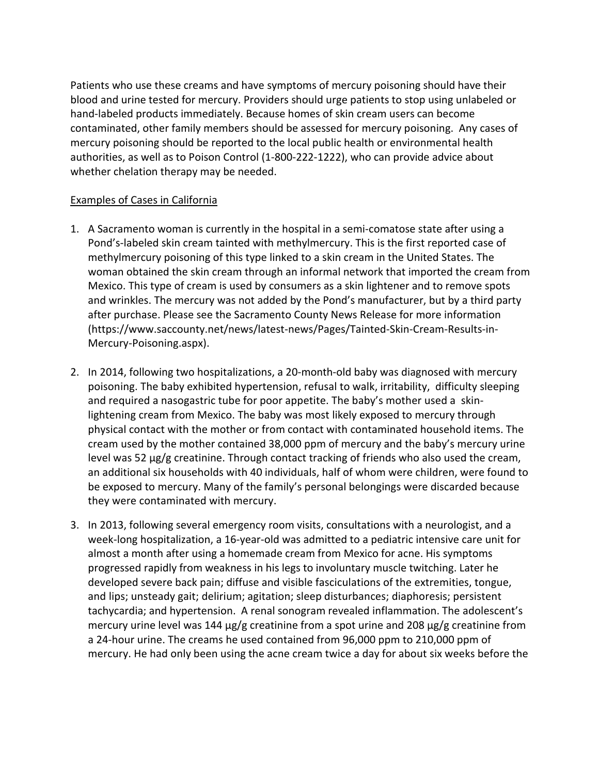Patients who use these creams and have symptoms of mercury poisoning should have their blood and urine tested for mercury. Providers should urge patients to stop using unlabeled or hand-labeled products immediately. Because homes of skin cream users can become contaminated, other family members should be assessed for mercury poisoning. Any cases of mercury poisoning should be reported to the local public health or environmental health authorities, as well as to Poison Control (1-800-222-1222), who can provide advice about whether chelation therapy may be needed.

#### Examples of Cases in California

- 1. A Sacramento woman is currently in the hospital in a semi-comatose state after using a Pond's-labeled skin cream tainted with methylmercury. This is the first reported case of methylmercury poisoning of this type linked to a skin cream in the United States. The woman obtained the skin cream through an informal network that imported the cream from Mexico. This type of cream is used by consumers as a skin lightener and to remove spots and wrinkles. The mercury was not added by the Pond's manufacturer, but by a third party after purchase. Please see the Sacramento County News Release for more information (https://www.saccounty.net/news/latest-news/Pages/Tainted-Skin-Cream-Results-in-Mercury-Poisoning.aspx).
- 2. In 2014, following two hospitalizations, a 20-month-old baby was diagnosed with mercury poisoning. The baby exhibited hypertension, refusal to walk, irritability, difficulty sleeping and required a nasogastric tube for poor appetite. The baby's mother used a skinlightening cream from Mexico. The baby was most likely exposed to mercury through physical contact with the mother or from contact with contaminated household items. The cream used by the mother contained 38,000 ppm of mercury and the baby's mercury urine level was 52 µg/g creatinine. Through contact tracking of friends who also used the cream, an additional six households with 40 individuals, half of whom were children, were found to be exposed to mercury. Many of the family's personal belongings were discarded because they were contaminated with mercury.
- 3. In 2013, following several emergency room visits, consultations with a neurologist, and a week-long hospitalization, a 16-year-old was admitted to a pediatric intensive care unit for almost a month after using a homemade cream from Mexico for acne. His symptoms progressed rapidly from weakness in his legs to involuntary muscle twitching. Later he developed severe back pain; diffuse and visible fasciculations of the extremities, tongue, and lips; unsteady gait; delirium; agitation; sleep disturbances; diaphoresis; persistent tachycardia; and hypertension. A renal sonogram revealed inflammation. The adolescent's mercury urine level was 144  $\mu$ g/g creatinine from a spot urine and 208  $\mu$ g/g creatinine from a 24-hour urine. The creams he used contained from 96,000 ppm to 210,000 ppm of mercury. He had only been using the acne cream twice a day for about six weeks before the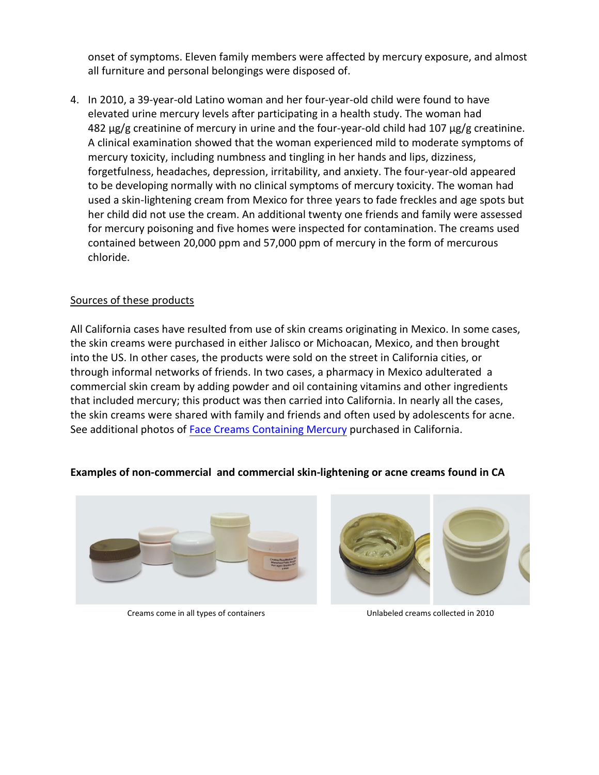onset of symptoms. Eleven family members were affected by mercury exposure, and almost all furniture and personal belongings were disposed of.

4. In 2010, a 39-year-old Latino woman and her four-year-old child were found to have elevated urine mercury levels after participating in a health study. The woman had  $482 \mu g/g$  creatinine of mercury in urine and the four-year-old child had 107  $\mu g/g$  creatinine. A clinical examination showed that the woman experienced mild to moderate symptoms of mercury toxicity, including numbness and tingling in her hands and lips, dizziness, forgetfulness, headaches, depression, irritability, and anxiety. The four-year-old appeared to be developing normally with no clinical symptoms of mercury toxicity. The woman had used a skin-lightening cream from Mexico for three years to fade freckles and age spots but her child did not use the cream. An additional twenty one friends and family were assessed for mercury poisoning and five homes were inspected for contamination. The creams used contained between 20,000 ppm and 57,000 ppm of mercury in the form of mercurous chloride.

#### Sources of these products

All California cases have resulted from use of skin creams originating in Mexico. In some cases, the skin creams were purchased in either Jalisco or Michoacan, Mexico, and then brought into the US. In other cases, the products were sold on the street in California cities, or through informal networks of friends. In two cases, a pharmacy in Mexico adulterated a commercial skin cream by adding powder and oil containing vitamins and other ingredients that included mercury; this product was then carried into California. In nearly all the cases, the skin creams were shared with family and friends and often used by adolescents for acne. See additional photos of [Face Creams Conta](https://www.cdph.ca.gov/Programs/CCDPHP/DEODC/EHIB/CPE/CDPH%20Document%20Library/Word%20Creams%20Doc_FINAL_ADA.pdf)ining Mercury purchased in California.

#### **Examples of non-commercial and commercial skin-lightening or acne creams found in CA**



Creams come in all types of containers Unlabeled creams collected in 2010

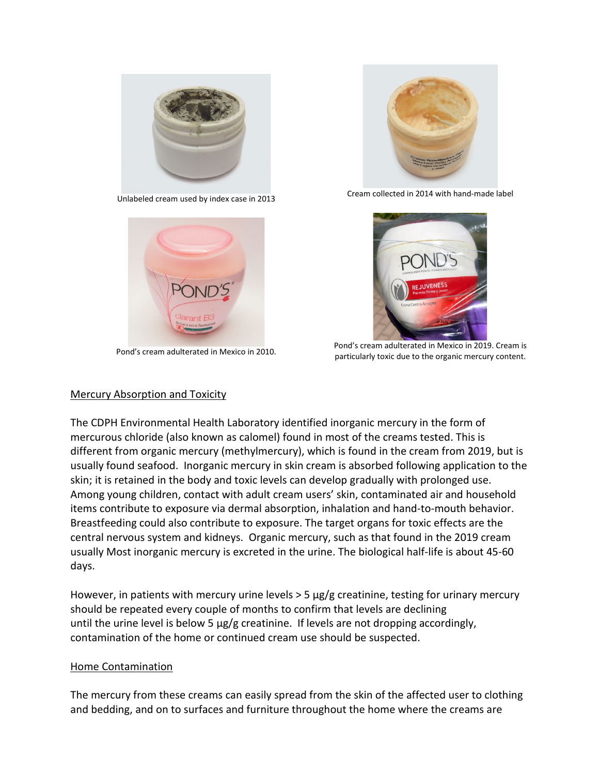



Pond's cream adulterated in Mexico in 2010.



Unlabeled cream used by index case in 2013 Cream collected in 2014 with hand-made label



Pond's cream adulterated in Mexico in 2019. Cream is particularly toxic due to the organic mercury content.

#### Mercury Absorption and Toxicity

The CDPH Environmental Health Laboratory identified inorganic mercury in the form of mercurous chloride (also known as calomel) found in most of the creams tested. This is different from organic mercury (methylmercury), which is found in the cream from 2019, but is usually found seafood. Inorganic mercury in skin cream is absorbed following application to the skin; it is retained in the body and toxic levels can develop gradually with prolonged use. Among young children, contact with adult cream users' skin, contaminated air and household items contribute to exposure via dermal absorption, inhalation and hand-to-mouth behavior. Breastfeeding could also contribute to exposure. The target organs for toxic effects are the central nervous system and kidneys. Organic mercury, such as that found in the 2019 cream usually Most inorganic mercury is excreted in the urine. The biological half-life is about 45-60 days.

However, in patients with mercury urine levels > 5 µg/g creatinine, testing for urinary mercury should be repeated every couple of months to confirm that levels are declining until the urine level is below 5 µg/g creatinine. If levels are not dropping accordingly, contamination of the home or continued cream use should be suspected.

#### Home Contamination

The mercury from these creams can easily spread from the skin of the affected user to clothing and bedding, and on to surfaces and furniture throughout the home where the creams are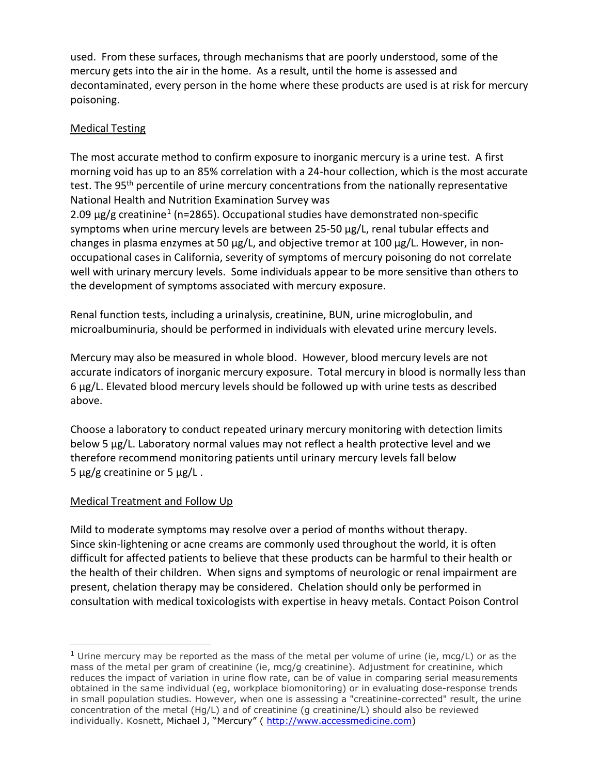used. From these surfaces, through mechanisms that are poorly understood, some of the mercury gets into the air in the home. As a result, until the home is assessed and decontaminated, every person in the home where these products are used is at risk for mercury poisoning.

## Medical Testing

The most accurate method to confirm exposure to inorganic mercury is a urine test. A first morning void has up to an 85% correlation with a 24-hour collection, which is the most accurate test. The 95<sup>th</sup> percentile of urine mercury concentrations from the nationally representative National Health and Nutrition Examination Survey was

2.09  $\mu$ g/g creatinine<sup>[1](#page-4-0)</sup> (n=2865). Occupational studies have demonstrated non-specific symptoms when urine mercury levels are between 25-50 µg/L, renal tubular effects and changes in plasma enzymes at 50  $\mu$ g/L, and objective tremor at 100  $\mu$ g/L. However, in nonoccupational cases in California, severity of symptoms of mercury poisoning do not correlate well with urinary mercury levels. Some individuals appear to be more sensitive than others to the development of symptoms associated with mercury exposure.

Renal function tests, including a urinalysis, creatinine, BUN, urine microglobulin, and microalbuminuria, should be performed in individuals with elevated urine mercury levels.

Mercury may also be measured in whole blood. However, blood mercury levels are not accurate indicators of inorganic mercury exposure. Total mercury in blood is normally less than 6 µg/L. Elevated blood mercury levels should be followed up with urine tests as described above.

Choose a laboratory to conduct repeated urinary mercury monitoring with detection limits below 5 µg/L. Laboratory normal values may not reflect a health protective level and we therefore recommend monitoring patients until urinary mercury levels fall below 5  $\mu$ g/g creatinine or 5  $\mu$ g/L.

## Medical Treatment and Follow Up

 $\overline{a}$ 

Mild to moderate symptoms may resolve over a period of months without therapy. Since skin-lightening or acne creams are commonly used throughout the world, it is often difficult for affected patients to believe that these products can be harmful to their health or the health of their children. When signs and symptoms of neurologic or renal impairment are present, chelation therapy may be considered. Chelation should only be performed in consultation with medical toxicologists with expertise in heavy metals. Contact Poison Control

<span id="page-4-0"></span><sup>&</sup>lt;sup>1</sup> Urine mercury may be reported as the mass of the metal per volume of urine (ie, mcg/L) or as the mass of the metal per gram of creatinine (ie, mcg/g creatinine). Adjustment for creatinine, which reduces the impact of variation in urine flow rate, can be of value in comparing serial measurements obtained in the same individual (eg, workplace biomonitoring) or in evaluating dose-response trends in small population studies. However, when one is assessing a "creatinine-corrected" result, the urine concentration of the metal (Hg/L) and of creatinine (g creatinine/L) should also be reviewed individually. Kosnett, Michael J, "Mercury" ( [http://www.accessmedicine.com\)](http://www.accessmedicine.com/)